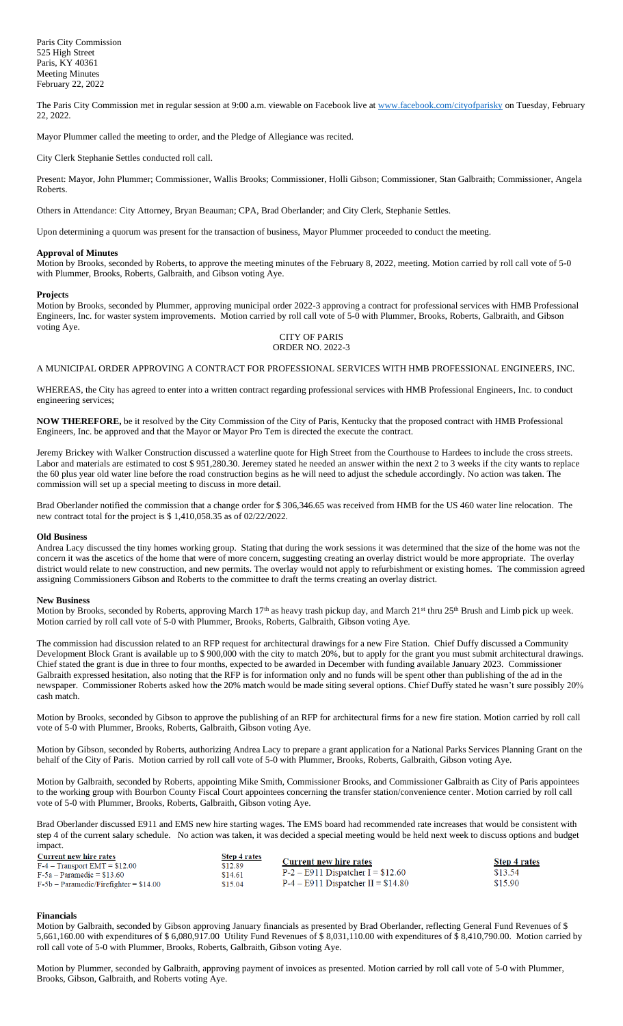The Paris City Commission met in regular session at 9:00 a.m. viewable on Facebook live a[t www.facebook.com/cityofparisky](http://www.facebook.com/cityofparisky) on Tuesday, February 22, 2022.

Mayor Plummer called the meeting to order, and the Pledge of Allegiance was recited.

City Clerk Stephanie Settles conducted roll call.

Present: Mayor, John Plummer; Commissioner, Wallis Brooks; Commissioner, Holli Gibson; Commissioner, Stan Galbraith; Commissioner, Angela Roberts.

Others in Attendance: City Attorney, Bryan Beauman; CPA, Brad Oberlander; and City Clerk, Stephanie Settles.

Upon determining a quorum was present for the transaction of business, Mayor Plummer proceeded to conduct the meeting.

### **Approval of Minutes**

Motion by Brooks, seconded by Roberts, to approve the meeting minutes of the February 8, 2022, meeting. Motion carried by roll call vote of 5-0 with Plummer, Brooks, Roberts, Galbraith, and Gibson voting Aye.

### **Projects**

Motion by Brooks, seconded by Plummer, approving municipal order 2022-3 approving a contract for professional services with HMB Professional Engineers, Inc. for waster system improvements. Motion carried by roll call vote of 5-0 with Plummer, Brooks, Roberts, Galbraith, and Gibson voting Aye.

### CITY OF PARIS ORDER NO. 2022-3

A MUNICIPAL ORDER APPROVING A CONTRACT FOR PROFESSIONAL SERVICES WITH HMB PROFESSIONAL ENGINEERS, INC.

WHEREAS, the City has agreed to enter into a written contract regarding professional services with HMB Professional Engineers, Inc. to conduct engineering services;

**NOW THEREFORE,** be it resolved by the City Commission of the City of Paris, Kentucky that the proposed contract with HMB Professional Engineers, Inc. be approved and that the Mayor or Mayor Pro Tem is directed the execute the contract.

Jeremy Brickey with Walker Construction discussed a waterline quote for High Street from the Courthouse to Hardees to include the cross streets. Labor and materials are estimated to cost \$ 951,280.30. Jeremey stated he needed an answer within the next 2 to 3 weeks if the city wants to replace the 60 plus year old water line before the road construction begins as he will need to adjust the schedule accordingly. No action was taken. The commission will set up a special meeting to discuss in more detail.

Brad Oberlander notified the commission that a change order for \$ 306,346.65 was received from HMB for the US 460 water line relocation. The new contract total for the project is \$ 1,410,058.35 as of 02/22/2022.

### **Old Business**

Andrea Lacy discussed the tiny homes working group. Stating that during the work sessions it was determined that the size of the home was not the concern it was the ascetics of the home that were of more concern, suggesting creating an overlay district would be more appropriate. The overlay district would relate to new construction, and new permits. The overlay would not apply to refurbishment or existing homes. The commission agreed assigning Commissioners Gibson and Roberts to the committee to draft the terms creating an overlay district.

### **New Business**

Motion by Brooks, seconded by Roberts, approving March 17<sup>th</sup> as heavy trash pickup day, and March 21<sup>st</sup> thru 25<sup>th</sup> Brush and Limb pick up week. Motion carried by roll call vote of 5-0 with Plummer, Brooks, Roberts, Galbraith, Gibson voting Aye.

The commission had discussion related to an RFP request for architectural drawings for a new Fire Station. Chief Duffy discussed a Community Development Block Grant is available up to \$ 900,000 with the city to match 20%, but to apply for the grant you must submit architectural drawings. Chief stated the grant is due in three to four months, expected to be awarded in December with funding available January 2023. Commissioner Galbraith expressed hesitation, also noting that the RFP is for information only and no funds will be spent other than publishing of the ad in the newspaper. Commissioner Roberts asked how the 20% match would be made siting several options. Chief Duffy stated he wasn't sure possibly 20% cash match.

Motion by Brooks, seconded by Gibson to approve the publishing of an RFP for architectural firms for a new fire station. Motion carried by roll call vote of 5-0 with Plummer, Brooks, Roberts, Galbraith, Gibson voting Aye.

Motion by Gibson, seconded by Roberts, authorizing Andrea Lacy to prepare a grant application for a National Parks Services Planning Grant on the behalf of the City of Paris. Motion carried by roll call vote of 5-0 with Plummer, Brooks, Roberts, Galbraith, Gibson voting Aye.

Motion by Galbraith, seconded by Roberts, appointing Mike Smith, Commissioner Brooks, and Commissioner Galbraith as City of Paris appointees to the working group with Bourbon County Fiscal Court appointees concerning the transfer station/convenience center. Motion carried by roll call vote of 5-0 with Plummer, Brooks, Roberts, Galbraith, Gibson voting Aye.

Brad Oberlander discussed E911 and EMS new hire starting wages. The EMS board had recommended rate increases that would be consistent with step 4 of the current salary schedule. No action was taken, it was decided a special meeting would be held next week to discuss options and budget impact.

| <b>Current new hire rates</b>            | <b>Step 4 rates</b> |                                      |                     |
|------------------------------------------|---------------------|--------------------------------------|---------------------|
| $F-4 - Transport EMT = $12.00$           | \$12.89             | Current new hire rates               | <b>Step 4 rates</b> |
| $F-5a$ – Paramedic = \$13.60             | \$14.61             | $P-2$ – E911 Dispatcher I = \$12.60  | \$13.54             |
| $F-5b$ – Paramedic/Firefighter = \$14.00 | \$15.04             | $P-4$ – E911 Dispatcher II = \$14.80 | \$15.90             |

### **Financials**

Motion by Galbraith, seconded by Gibson approving January financials as presented by Brad Oberlander, reflecting General Fund Revenues of \$ 5,661,160.00 with expenditures of \$ 6,080,917.00 Utility Fund Revenues of \$ 8,031,110.00 with expenditures of \$ 8,410,790.00. Motion carried by roll call vote of 5-0 with Plummer, Brooks, Roberts, Galbraith, Gibson voting Aye.

Motion by Plummer, seconded by Galbraith, approving payment of invoices as presented. Motion carried by roll call vote of 5-0 with Plummer, Brooks, Gibson, Galbraith, and Roberts voting Aye.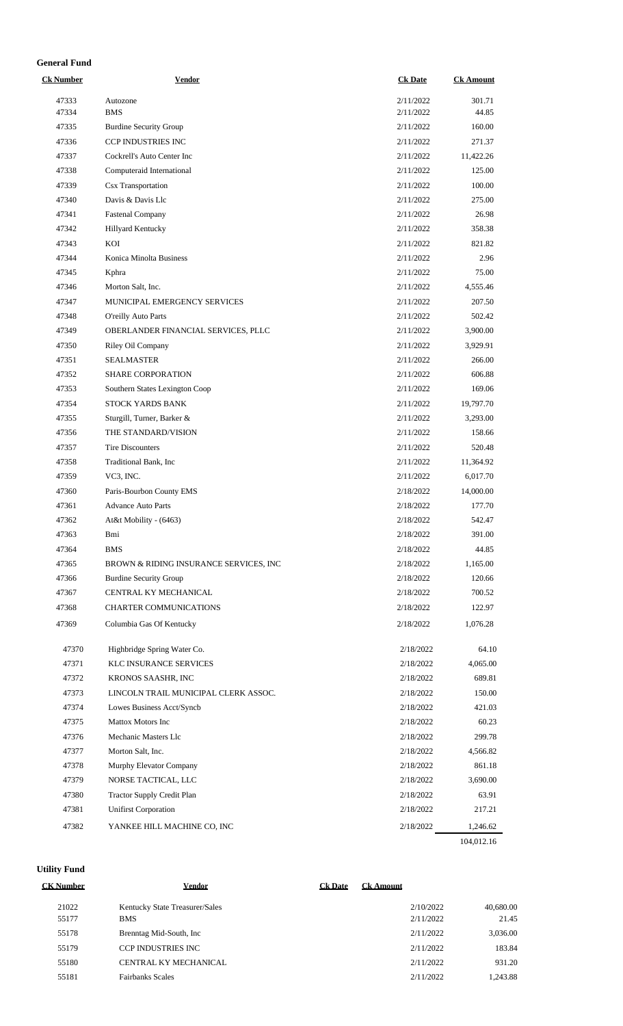# **General Fund**

| <b>Ck Number</b> | <b>Vendor</b>                           | <b>Ck Date</b> | <b>Ck Amount</b>       |
|------------------|-----------------------------------------|----------------|------------------------|
| 47333            | Autozone                                | 2/11/2022      | 301.71                 |
| 47334            | <b>BMS</b>                              | 2/11/2022      | 44.85                  |
| 47335            | <b>Burdine Security Group</b>           | 2/11/2022      | 160.00                 |
| 47336            | CCP INDUSTRIES INC                      | 2/11/2022      | 271.37                 |
| 47337            | Cockrell's Auto Center Inc              | 2/11/2022      | 11,422.26              |
| 47338            | Computeraid International               | 2/11/2022      | 125.00                 |
| 47339            | <b>Csx Transportation</b>               | 2/11/2022      | 100.00                 |
| 47340            | Davis & Davis Llc                       | 2/11/2022      | 275.00                 |
| 47341            | <b>Fastenal Company</b>                 | 2/11/2022      | 26.98                  |
| 47342            | Hillyard Kentucky                       | 2/11/2022      | 358.38                 |
| 47343            | KOI                                     | 2/11/2022      | 821.82                 |
| 47344            | Konica Minolta Business                 | 2/11/2022      | 2.96                   |
| 47345            | Kphra                                   | 2/11/2022      | 75.00                  |
| 47346            | Morton Salt, Inc.                       | 2/11/2022      | 4,555.46               |
| 47347            | MUNICIPAL EMERGENCY SERVICES            | 2/11/2022      | 207.50                 |
| 47348            | O'reilly Auto Parts                     | 2/11/2022      | 502.42                 |
| 47349            | OBERLANDER FINANCIAL SERVICES, PLLC     | 2/11/2022      | 3,900.00               |
| 47350            | Riley Oil Company                       | 2/11/2022      | 3,929.91               |
| 47351            | <b>SEALMASTER</b>                       | 2/11/2022      | 266.00                 |
| 47352            | SHARE CORPORATION                       | 2/11/2022      | 606.88                 |
| 47353            | Southern States Lexington Coop          | 2/11/2022      | 169.06                 |
| 47354            | STOCK YARDS BANK                        | 2/11/2022      | 19,797.70              |
| 47355            | Sturgill, Turner, Barker &              | 2/11/2022      | 3,293.00               |
| 47356            | THE STANDARD/VISION                     | 2/11/2022      | 158.66                 |
| 47357            | <b>Tire Discounters</b>                 | 2/11/2022      | 520.48                 |
| 47358            | Traditional Bank, Inc.                  | 2/11/2022      | 11,364.92              |
| 47359            | VC3, INC.                               | 2/11/2022      | 6,017.70               |
| 47360            | Paris-Bourbon County EMS                | 2/18/2022      | 14,000.00              |
| 47361            | <b>Advance Auto Parts</b>               | 2/18/2022      | 177.70                 |
| 47362            | At&t Mobility - (6463)                  | 2/18/2022      | 542.47                 |
| 47363            | Bmi                                     | 2/18/2022      | 391.00                 |
| 47364            | <b>BMS</b>                              | 2/18/2022      | 44.85                  |
| 47365            | BROWN & RIDING INSURANCE SERVICES, INC. | 2/18/2022      | 1,165.00               |
| 47366            | <b>Burdine Security Group</b>           | 2/18/2022      | 120.66                 |
| 47367            | CENTRAL KY MECHANICAL                   | 2/18/2022      | 700.52                 |
| 47368            | <b>CHARTER COMMUNICATIONS</b>           | 2/18/2022      | 122.97                 |
|                  |                                         |                |                        |
| 47369            | Columbia Gas Of Kentucky                | 2/18/2022      | 1,076.28               |
| 47370            | Highbridge Spring Water Co.             | 2/18/2022      | 64.10                  |
| 47371            | <b>KLC INSURANCE SERVICES</b>           | 2/18/2022      | 4,065.00               |
| 47372            | KRONOS SAASHR, INC                      | 2/18/2022      | 689.81                 |
| 47373            | LINCOLN TRAIL MUNICIPAL CLERK ASSOC.    | 2/18/2022      | 150.00                 |
| 47374            | Lowes Business Acct/Syncb               | 2/18/2022      | 421.03                 |
| 47375            | <b>Mattox Motors Inc</b>                | 2/18/2022      | 60.23                  |
| 47376            | Mechanic Masters Llc                    | 2/18/2022      | 299.78                 |
| 47377            | Morton Salt, Inc.                       | 2/18/2022      | 4,566.82               |
| 47378            | Murphy Elevator Company                 | 2/18/2022      | 861.18                 |
| 47379            | NORSE TACTICAL, LLC                     | 2/18/2022      | 3,690.00               |
| 47380            | <b>Tractor Supply Credit Plan</b>       | 2/18/2022      | 63.91                  |
| 47381            | <b>Unifirst Corporation</b>             | 2/18/2022      | 217.21                 |
|                  |                                         |                |                        |
| 47382            | YANKEE HILL MACHINE CO, INC             | 2/18/2022      | 1,246.62<br>104,012.16 |
|                  |                                         |                |                        |

**Utility Fund**

| <b>CK Number</b> | Vendor                         | <b>Ck Date</b> | <b>Ck Amount</b> |           |
|------------------|--------------------------------|----------------|------------------|-----------|
| 21022            | Kentucky State Treasurer/Sales |                | 2/10/2022        | 40,680.00 |
| 55177            | <b>BMS</b>                     |                | 2/11/2022        | 21.45     |
| 55178            | Brenntag Mid-South, Inc.       |                | 2/11/2022        | 3,036.00  |
| 55179            | <b>CCP INDUSTRIES INC.</b>     |                | 2/11/2022        | 183.84    |
| 55180            | CENTRAL KY MECHANICAL          |                | 2/11/2022        | 931.20    |
| 55181            | <b>Fairbanks Scales</b>        |                | 2/11/2022        | 1,243.88  |
|                  |                                |                |                  |           |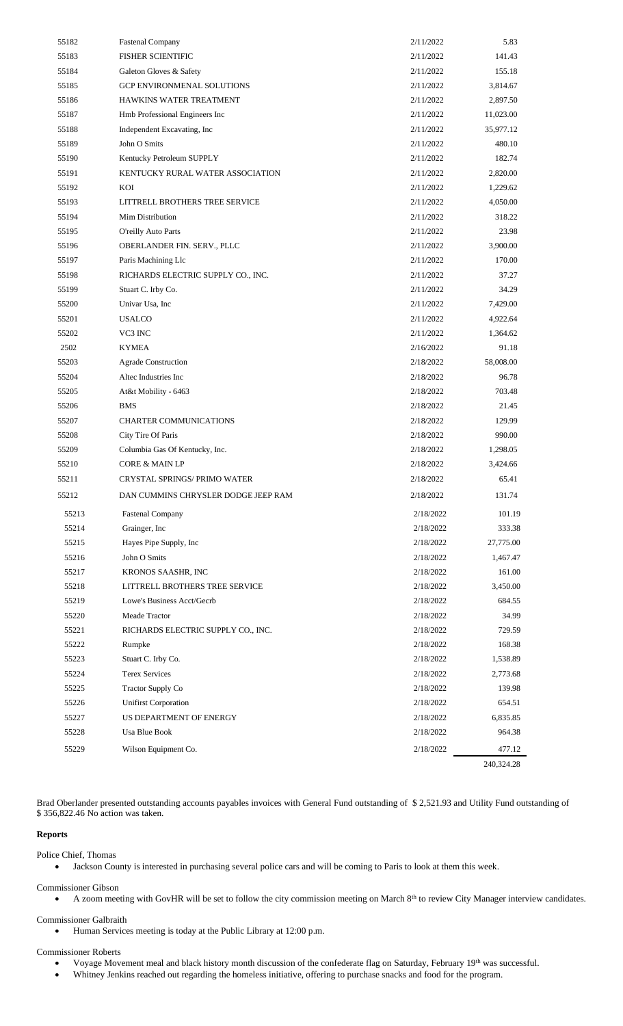| 55182 | <b>Fastenal Company</b>             | 2/11/2022 | 5.83       |
|-------|-------------------------------------|-----------|------------|
| 55183 | <b>FISHER SCIENTIFIC</b>            | 2/11/2022 | 141.43     |
| 55184 | Galeton Gloves & Safety             | 2/11/2022 | 155.18     |
| 55185 | <b>GCP ENVIRONMENAL SOLUTIONS</b>   | 2/11/2022 | 3,814.67   |
| 55186 | HAWKINS WATER TREATMENT             | 2/11/2022 | 2,897.50   |
| 55187 | Hmb Professional Engineers Inc      | 2/11/2022 | 11,023.00  |
| 55188 | Independent Excavating, Inc.        | 2/11/2022 | 35,977.12  |
| 55189 | John O Smits                        | 2/11/2022 | 480.10     |
| 55190 | Kentucky Petroleum SUPPLY           | 2/11/2022 | 182.74     |
| 55191 | KENTUCKY RURAL WATER ASSOCIATION    | 2/11/2022 | 2,820.00   |
| 55192 | KOI                                 | 2/11/2022 | 1,229.62   |
| 55193 | LITTRELL BROTHERS TREE SERVICE      | 2/11/2022 | 4,050.00   |
| 55194 | Mim Distribution                    | 2/11/2022 | 318.22     |
| 55195 | O'reilly Auto Parts                 | 2/11/2022 | 23.98      |
| 55196 | OBERLANDER FIN. SERV., PLLC         | 2/11/2022 | 3,900.00   |
| 55197 | Paris Machining Llc                 | 2/11/2022 | 170.00     |
| 55198 | RICHARDS ELECTRIC SUPPLY CO., INC.  | 2/11/2022 | 37.27      |
| 55199 | Stuart C. Irby Co.                  | 2/11/2022 | 34.29      |
| 55200 | Univar Usa, Inc                     | 2/11/2022 | 7,429.00   |
| 55201 | <b>USALCO</b>                       | 2/11/2022 | 4,922.64   |
| 55202 | VC3 INC                             | 2/11/2022 | 1,364.62   |
| 2502  | <b>KYMEA</b>                        | 2/16/2022 | 91.18      |
| 55203 | Agrade Construction                 | 2/18/2022 | 58,008.00  |
| 55204 | Altec Industries Inc.               | 2/18/2022 | 96.78      |
| 55205 | At&t Mobility - 6463                | 2/18/2022 | 703.48     |
| 55206 | <b>BMS</b>                          | 2/18/2022 | 21.45      |
| 55207 | CHARTER COMMUNICATIONS              | 2/18/2022 | 129.99     |
| 55208 | City Tire Of Paris                  | 2/18/2022 | 990.00     |
| 55209 | Columbia Gas Of Kentucky, Inc.      | 2/18/2022 | 1,298.05   |
| 55210 | <b>CORE &amp; MAIN LP</b>           | 2/18/2022 | 3,424.66   |
| 55211 | <b>CRYSTAL SPRINGS/ PRIMO WATER</b> | 2/18/2022 | 65.41      |
| 55212 | DAN CUMMINS CHRYSLER DODGE JEEP RAM | 2/18/2022 | 131.74     |
| 55213 | <b>Fastenal Company</b>             | 2/18/2022 | 101.19     |
| 55214 | Grainger, Inc.                      | 2/18/2022 | 333.38     |
| 55215 | Hayes Pipe Supply, Inc              | 2/18/2022 | 27,775.00  |
| 55216 | John O Smits                        | 2/18/2022 | 1,467.47   |
| 55217 | KRONOS SAASHR, INC                  | 2/18/2022 | 161.00     |
| 55218 | LITTRELL BROTHERS TREE SERVICE      | 2/18/2022 | 3,450.00   |
| 55219 | Lowe's Business Acct/Gecrb          | 2/18/2022 | 684.55     |
| 55220 | Meade Tractor                       | 2/18/2022 | 34.99      |
| 55221 | RICHARDS ELECTRIC SUPPLY CO., INC.  | 2/18/2022 | 729.59     |
| 55222 | Rumpke                              | 2/18/2022 | 168.38     |
| 55223 | Stuart C. Irby Co.                  | 2/18/2022 | 1,538.89   |
| 55224 | <b>Terex Services</b>               | 2/18/2022 | 2,773.68   |
| 55225 | <b>Tractor Supply Co</b>            | 2/18/2022 | 139.98     |
| 55226 | <b>Unifirst Corporation</b>         | 2/18/2022 | 654.51     |
| 55227 | US DEPARTMENT OF ENERGY             | 2/18/2022 | 6,835.85   |
| 55228 | Usa Blue Book                       | 2/18/2022 | 964.38     |
| 55229 | Wilson Equipment Co.                | 2/18/2022 | 477.12     |
|       |                                     |           | 240,324.28 |
|       |                                     |           |            |

Brad Oberlander presented outstanding accounts payables invoices with General Fund outstanding of \$ 2,521.93 and Utility Fund outstanding of \$ 356,822.46 No action was taken.

# **Reports**

Police Chief, Thomas

• Jackson County is interested in purchasing several police cars and will be coming to Paris to look at them this week.

Commissioner Gibson

• A zoom meeting with GovHR will be set to follow the city commission meeting on March 8<sup>th</sup> to review City Manager interview candidates.

# Commissioner Galbraith

• Human Services meeting is today at the Public Library at 12:00 p.m.

### Commissioner Roberts

- Voyage Movement meal and black history month discussion of the confederate flag on Saturday, February 19th was successful.
- Whitney Jenkins reached out regarding the homeless initiative, offering to purchase snacks and food for the program.